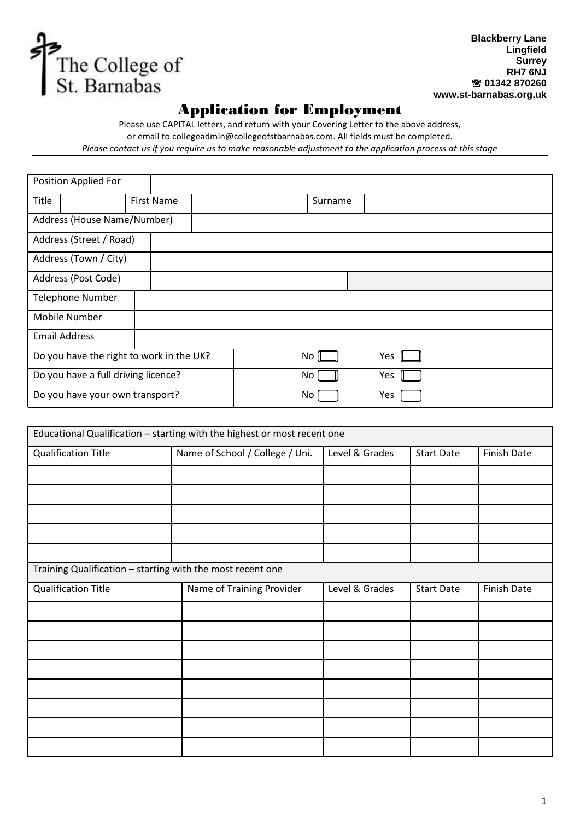

**Blackberry Lane Lingfield Surrey RH7 6NJ 01342 870260 www.st-barnabas.org.uk**

## Application for Employment

Please use CAPITAL letters, and return with your Covering Letter to the above address, or email to [collegeadmin@collegeofstbarnabas.com.](mailto:collegeadmin@collegeofstbarnabas.com) All fields must be completed. *Please contact us if you require us to make reasonable adjustment to the application process at this stage*

| Position Applied For                     |                         |  |                   |         |  |
|------------------------------------------|-------------------------|--|-------------------|---------|--|
| Title                                    |                         |  | <b>First Name</b> | Surname |  |
| Address (House Name/Number)              |                         |  |                   |         |  |
|                                          | Address (Street / Road) |  |                   |         |  |
| Address (Town / City)                    |                         |  |                   |         |  |
| Address (Post Code)                      |                         |  |                   |         |  |
| <b>Telephone Number</b>                  |                         |  |                   |         |  |
| Mobile Number                            |                         |  |                   |         |  |
|                                          | <b>Email Address</b>    |  |                   |         |  |
| Do you have the right to work in the UK? |                         |  | No                | Yes     |  |
| Do you have a full driving licence?      |                         |  | No                | Yes     |  |
| Do you have your own transport?          |                         |  | No                | Yes     |  |

| Educational Qualification - starting with the highest or most recent one |                                 |                |                   |                    |  |  |
|--------------------------------------------------------------------------|---------------------------------|----------------|-------------------|--------------------|--|--|
| <b>Qualification Title</b>                                               | Name of School / College / Uni. | Level & Grades | <b>Start Date</b> | <b>Finish Date</b> |  |  |
|                                                                          |                                 |                |                   |                    |  |  |
|                                                                          |                                 |                |                   |                    |  |  |
|                                                                          |                                 |                |                   |                    |  |  |
|                                                                          |                                 |                |                   |                    |  |  |
|                                                                          |                                 |                |                   |                    |  |  |
| Training Qualification - starting with the most recent one               |                                 |                |                   |                    |  |  |
| <b>Qualification Title</b>                                               | Name of Training Provider       | Level & Grades | <b>Start Date</b> | <b>Finish Date</b> |  |  |
|                                                                          |                                 |                |                   |                    |  |  |
|                                                                          |                                 |                |                   |                    |  |  |
|                                                                          |                                 |                |                   |                    |  |  |
|                                                                          |                                 |                |                   |                    |  |  |
|                                                                          |                                 |                |                   |                    |  |  |
|                                                                          |                                 |                |                   |                    |  |  |
|                                                                          |                                 |                |                   |                    |  |  |
|                                                                          |                                 |                |                   |                    |  |  |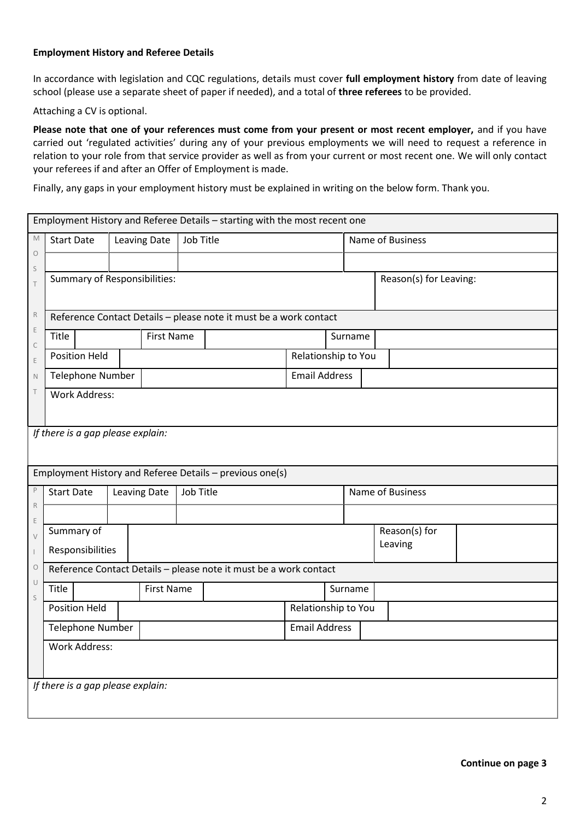## **Employment History and Referee Details**

In accordance with legislation and CQC regulations, details must cover **full employment history** from date of leaving school (please use a separate sheet of paper if needed), and a total of **three referees** to be provided.

Attaching a CV is optional.

**Please note that one of your references must come from your present or most recent employer,** and if you have carried out 'regulated activities' during any of your previous employments we will need to request a reference in relation to your role from that service provider as well as from your current or most recent one. We will only contact your referees if and after an Offer of Employment is made.

Finally, any gaps in your employment history must be explained in writing on the below form. Thank you.

| Employment History and Referee Details - starting with the most recent one |                                     |                                                                   |                   |                                                                   |                      |                  |                        |  |  |  |  |
|----------------------------------------------------------------------------|-------------------------------------|-------------------------------------------------------------------|-------------------|-------------------------------------------------------------------|----------------------|------------------|------------------------|--|--|--|--|
| M                                                                          | <b>Start Date</b>                   | <b>Leaving Date</b>                                               | Job Title         |                                                                   |                      |                  | Name of Business       |  |  |  |  |
| $\circlearrowright$                                                        |                                     |                                                                   |                   |                                                                   |                      |                  |                        |  |  |  |  |
| $\mathsf S$<br>$\top$                                                      | <b>Summary of Responsibilities:</b> |                                                                   |                   |                                                                   |                      |                  | Reason(s) for Leaving: |  |  |  |  |
| $\,$ R                                                                     |                                     | Reference Contact Details - please note it must be a work contact |                   |                                                                   |                      |                  |                        |  |  |  |  |
| $\mathsf E$<br>C                                                           | Title                               |                                                                   | <b>First Name</b> |                                                                   |                      | Surname          |                        |  |  |  |  |
| E                                                                          | <b>Position Held</b>                |                                                                   |                   |                                                                   | Relationship to You  |                  |                        |  |  |  |  |
| $\mathbb N$                                                                | <b>Telephone Number</b>             |                                                                   |                   |                                                                   | <b>Email Address</b> |                  |                        |  |  |  |  |
| $\top$                                                                     | <b>Work Address:</b>                |                                                                   |                   |                                                                   |                      |                  |                        |  |  |  |  |
|                                                                            | If there is a gap please explain:   |                                                                   |                   |                                                                   |                      |                  |                        |  |  |  |  |
|                                                                            |                                     |                                                                   |                   | Employment History and Referee Details - previous one(s)          |                      |                  |                        |  |  |  |  |
| P                                                                          | <b>Start Date</b>                   | <b>Leaving Date</b>                                               | Job Title         |                                                                   |                      | Name of Business |                        |  |  |  |  |
| $\mathbb R$<br>E                                                           |                                     |                                                                   |                   |                                                                   |                      |                  |                        |  |  |  |  |
| $\vee$                                                                     | Summary of                          |                                                                   |                   |                                                                   |                      |                  | Reason(s) for          |  |  |  |  |
| $\overline{\phantom{a}}$                                                   | Responsibilities                    |                                                                   |                   |                                                                   |                      |                  | Leaving                |  |  |  |  |
| $\circ$                                                                    |                                     |                                                                   |                   | Reference Contact Details - please note it must be a work contact |                      |                  |                        |  |  |  |  |
| $\cup$<br>S                                                                | Title                               |                                                                   | <b>First Name</b> |                                                                   |                      | Surname          |                        |  |  |  |  |
|                                                                            | <b>Position Held</b>                |                                                                   |                   |                                                                   | Relationship to You  |                  |                        |  |  |  |  |
|                                                                            | Telephone Number                    |                                                                   |                   |                                                                   | <b>Email Address</b> |                  |                        |  |  |  |  |
|                                                                            | <b>Work Address:</b>                |                                                                   |                   |                                                                   |                      |                  |                        |  |  |  |  |
|                                                                            | If there is a gap please explain:   |                                                                   |                   |                                                                   |                      |                  |                        |  |  |  |  |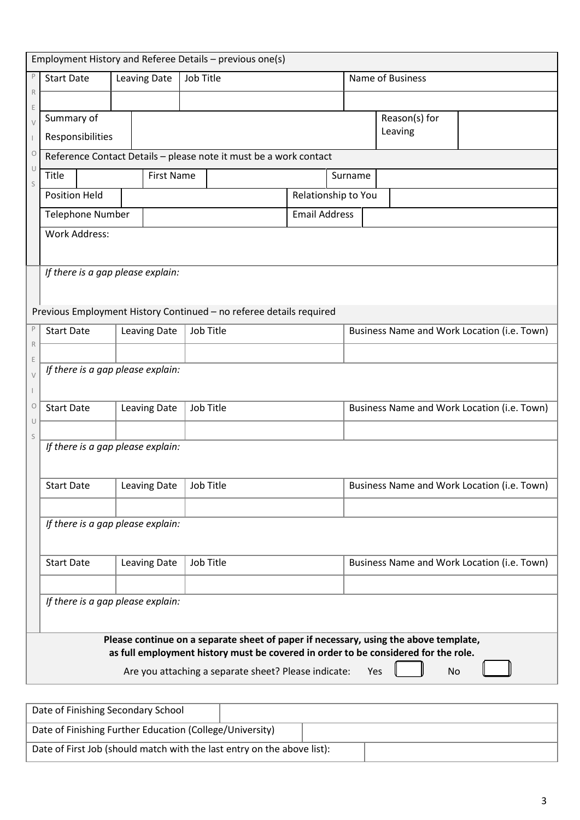| Employment History and Referee Details - previous one(s)                                                    |                                    |                                  |  |                     |           |                                                                                    |  |               |                  |  |                                             |    |                                             |
|-------------------------------------------------------------------------------------------------------------|------------------------------------|----------------------------------|--|---------------------|-----------|------------------------------------------------------------------------------------|--|---------------|------------------|--|---------------------------------------------|----|---------------------------------------------|
| P                                                                                                           | <b>Start Date</b>                  |                                  |  | Leaving Date        | Job Title |                                                                                    |  |               | Name of Business |  |                                             |    |                                             |
| $\mathsf{R}$                                                                                                |                                    |                                  |  |                     |           |                                                                                    |  |               |                  |  |                                             |    |                                             |
| Ε<br>Summary of                                                                                             |                                    |                                  |  |                     |           |                                                                                    |  | Reason(s) for |                  |  |                                             |    |                                             |
| Leaving<br>Responsibilities<br>$\circ$<br>Reference Contact Details - please note it must be a work contact |                                    |                                  |  |                     |           |                                                                                    |  |               |                  |  |                                             |    |                                             |
|                                                                                                             |                                    |                                  |  |                     |           |                                                                                    |  |               |                  |  |                                             |    |                                             |
| U<br><b>First Name</b><br>Title<br>Surname<br>S                                                             |                                    |                                  |  |                     |           |                                                                                    |  |               |                  |  |                                             |    |                                             |
| <b>Position Held</b><br>Relationship to You                                                                 |                                    |                                  |  |                     |           |                                                                                    |  |               |                  |  |                                             |    |                                             |
| <b>Email Address</b><br><b>Telephone Number</b>                                                             |                                    |                                  |  |                     |           |                                                                                    |  |               |                  |  |                                             |    |                                             |
|                                                                                                             | <b>Work Address:</b>               |                                  |  |                     |           |                                                                                    |  |               |                  |  |                                             |    |                                             |
|                                                                                                             |                                    |                                  |  |                     |           |                                                                                    |  |               |                  |  |                                             |    |                                             |
|                                                                                                             | If there is a gap please explain:  |                                  |  |                     |           |                                                                                    |  |               |                  |  |                                             |    |                                             |
|                                                                                                             |                                    |                                  |  |                     |           |                                                                                    |  |               |                  |  |                                             |    |                                             |
|                                                                                                             |                                    |                                  |  |                     |           | Previous Employment History Continued - no referee details required                |  |               |                  |  |                                             |    |                                             |
| $\mathsf{P}% _{T}$                                                                                          | <b>Start Date</b>                  |                                  |  | <b>Leaving Date</b> |           | Job Title                                                                          |  |               |                  |  |                                             |    | Business Name and Work Location (i.e. Town) |
| $\mathsf R$<br>Ε                                                                                            |                                    |                                  |  |                     |           |                                                                                    |  |               |                  |  |                                             |    |                                             |
| $\vee$                                                                                                      | If there is a gap please explain:  |                                  |  |                     |           |                                                                                    |  |               |                  |  |                                             |    |                                             |
|                                                                                                             |                                    |                                  |  |                     |           |                                                                                    |  |               |                  |  |                                             |    |                                             |
| $\circ$<br>U                                                                                                | <b>Start Date</b>                  | Job Title<br><b>Leaving Date</b> |  |                     |           |                                                                                    |  |               |                  |  | Business Name and Work Location (i.e. Town) |    |                                             |
| S                                                                                                           |                                    |                                  |  |                     |           |                                                                                    |  |               |                  |  |                                             |    |                                             |
|                                                                                                             | If there is a gap please explain:  |                                  |  |                     |           |                                                                                    |  |               |                  |  |                                             |    |                                             |
|                                                                                                             |                                    |                                  |  |                     |           |                                                                                    |  |               |                  |  |                                             |    |                                             |
|                                                                                                             | <b>Start Date</b>                  |                                  |  | Leaving Date        |           | Job Title                                                                          |  |               |                  |  |                                             |    | Business Name and Work Location (i.e. Town) |
|                                                                                                             |                                    |                                  |  |                     |           |                                                                                    |  |               |                  |  |                                             |    |                                             |
|                                                                                                             | If there is a gap please explain:  |                                  |  |                     |           |                                                                                    |  |               |                  |  |                                             |    |                                             |
|                                                                                                             |                                    |                                  |  |                     |           |                                                                                    |  |               |                  |  |                                             |    |                                             |
|                                                                                                             | <b>Start Date</b>                  |                                  |  | <b>Leaving Date</b> |           | Job Title                                                                          |  |               |                  |  |                                             |    | Business Name and Work Location (i.e. Town) |
|                                                                                                             |                                    |                                  |  |                     |           |                                                                                    |  |               |                  |  |                                             |    |                                             |
|                                                                                                             | If there is a gap please explain:  |                                  |  |                     |           |                                                                                    |  |               |                  |  |                                             |    |                                             |
| Please continue on a separate sheet of paper if necessary, using the above template,                        |                                    |                                  |  |                     |           |                                                                                    |  |               |                  |  |                                             |    |                                             |
|                                                                                                             |                                    |                                  |  |                     |           | as full employment history must be covered in order to be considered for the role. |  |               |                  |  |                                             |    |                                             |
|                                                                                                             |                                    |                                  |  |                     |           | Are you attaching a separate sheet? Please indicate:                               |  |               | Yes              |  |                                             | No |                                             |
|                                                                                                             |                                    |                                  |  |                     |           |                                                                                    |  |               |                  |  |                                             |    |                                             |
|                                                                                                             | Date of Finishing Secondary School |                                  |  |                     |           |                                                                                    |  |               |                  |  |                                             |    |                                             |

| Date of Finishing Secondary School                                      |  |  |
|-------------------------------------------------------------------------|--|--|
| Date of Finishing Further Education (College/University)                |  |  |
| Date of First Job (should match with the last entry on the above list): |  |  |